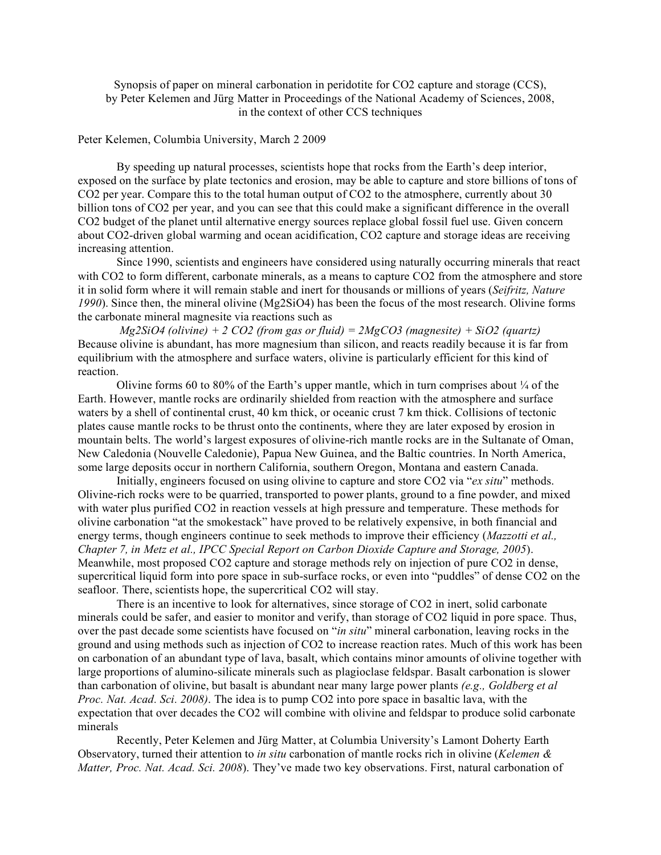Synopsis of paper on mineral carbonation in peridotite for CO2 capture and storage (CCS), by Peter Kelemen and Jürg Matter in Proceedings of the National Academy of Sciences, 2008, in the context of other CCS techniques

## Peter Kelemen, Columbia University, March 2 2009

By speeding up natural processes, scientists hope that rocks from the Earth's deep interior, exposed on the surface by plate tectonics and erosion, may be able to capture and store billions of tons of CO2 per year. Compare this to the total human output of CO2 to the atmosphere, currently about 30 billion tons of CO2 per year, and you can see that this could make a significant difference in the overall CO2 budget of the planet until alternative energy sources replace global fossil fuel use. Given concern about CO2-driven global warming and ocean acidification, CO2 capture and storage ideas are receiving increasing attention.

Since 1990, scientists and engineers have considered using naturally occurring minerals that react with CO2 to form different, carbonate minerals, as a means to capture CO2 from the atmosphere and store it in solid form where it will remain stable and inert for thousands or millions of years (*Seifritz, Nature 1990*). Since then, the mineral olivine (Mg2SiO4) has been the focus of the most research. Olivine forms the carbonate mineral magnesite via reactions such as

*Mg2SiO4 (olivine) + 2 CO2 (from gas or fluid) = 2MgCO3 (magnesite) + SiO2 (quartz)* Because olivine is abundant, has more magnesium than silicon, and reacts readily because it is far from equilibrium with the atmosphere and surface waters, olivine is particularly efficient for this kind of reaction.

Olivine forms 60 to 80% of the Earth's upper mantle, which in turn comprises about  $\frac{1}{4}$  of the Earth. However, mantle rocks are ordinarily shielded from reaction with the atmosphere and surface waters by a shell of continental crust, 40 km thick, or oceanic crust 7 km thick. Collisions of tectonic plates cause mantle rocks to be thrust onto the continents, where they are later exposed by erosion in mountain belts. The world's largest exposures of olivine-rich mantle rocks are in the Sultanate of Oman, New Caledonia (Nouvelle Caledonie), Papua New Guinea, and the Baltic countries. In North America, some large deposits occur in northern California, southern Oregon, Montana and eastern Canada.

Initially, engineers focused on using olivine to capture and store CO2 via "*ex situ*" methods. Olivine-rich rocks were to be quarried, transported to power plants, ground to a fine powder, and mixed with water plus purified CO2 in reaction vessels at high pressure and temperature. These methods for olivine carbonation "at the smokestack" have proved to be relatively expensive, in both financial and energy terms, though engineers continue to seek methods to improve their efficiency (*Mazzotti et al., Chapter 7, in Metz et al., IPCC Special Report on Carbon Dioxide Capture and Storage, 2005*). Meanwhile, most proposed CO2 capture and storage methods rely on injection of pure CO2 in dense, supercritical liquid form into pore space in sub-surface rocks, or even into "puddles" of dense CO2 on the seafloor. There, scientists hope, the supercritical CO2 will stay.

There is an incentive to look for alternatives, since storage of CO2 in inert, solid carbonate minerals could be safer, and easier to monitor and verify, than storage of CO2 liquid in pore space. Thus, over the past decade some scientists have focused on "*in situ*" mineral carbonation, leaving rocks in the ground and using methods such as injection of CO2 to increase reaction rates. Much of this work has been on carbonation of an abundant type of lava, basalt, which contains minor amounts of olivine together with large proportions of alumino-silicate minerals such as plagioclase feldspar. Basalt carbonation is slower than carbonation of olivine, but basalt is abundant near many large power plants *(e.g., Goldberg et al Proc. Nat. Acad. Sci. 2008)*. The idea is to pump CO2 into pore space in basaltic lava, with the expectation that over decades the CO2 will combine with olivine and feldspar to produce solid carbonate minerals

Recently, Peter Kelemen and Jürg Matter, at Columbia University's Lamont Doherty Earth Observatory, turned their attention to *in situ* carbonation of mantle rocks rich in olivine (*Kelemen & Matter, Proc. Nat. Acad. Sci. 2008*). They've made two key observations. First, natural carbonation of